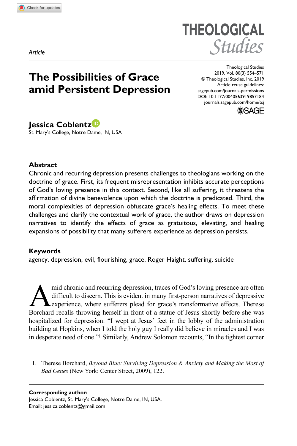THEOLOGICAL Studies

*Article*

# **The Possibilities of Grace amid Persistent Depression**

DOI: 10.1177/0040563919857184 Theological Studies 2019, Vol. 80(3) 554–571 © Theological Studies, Inc. 2019 Article reuse guidelines: [sagepub.com/journals-permissions](https://uk.sagepub.com/en-gb/journals-permissions) [journals.sagepub.com/home/tsj](https://journals.sagepub.com/home/tsj)



**Jessica Coblentz** St. Mary's College, Notre Dame, IN, USA

#### **Abstract**

Chronic and recurring depression presents challenges to theologians working on the doctrine of grace. First, its frequent misrepresentation inhibits accurate perceptions of God's loving presence in this context. Second, like all suffering, it threatens the affirmation of divine benevolence upon which the doctrine is predicated. Third, the moral complexities of depression obfuscate grace's healing effects. To meet these challenges and clarify the contextual work of grace, the author draws on depression narratives to identify the effects of grace as gratuitous, elevating, and healing expansions of possibility that many sufferers experience as depression persists.

#### **Keywords**

agency, depression, evil, flourishing, grace, Roger Haight, suffering, suicide

mid chronic and recurring depression, traces of God's loving presence are often difficult to discern. This is evident in many first-person narratives of depressive experience, where sufferers plead for grace's transformati difficult to discern. This is evident in many first-person narratives of depressive Borchard recalls throwing herself in front of a statue of Jesus shortly before she was hospitalized for depression: "I wept at Jesus' feet in the lobby of the administration building at Hopkins, when I told the holy guy I really did believe in miracles and I was in desperate need of one."1 Similarly, Andrew Solomon recounts, "In the tightest corner

**Corresponding author:** Jessica Coblentz, St. Mary's College, Notre Dame, IN, USA. Email: [jessica.coblentz@gmail.com](mailto:jessica.coblentz@gmail.com)

<sup>1.</sup> Therese Borchard, *Beyond Blue: Surviving Depression & Anxiety and Making the Most of Bad Genes* (New York: Center Street, 2009), 122.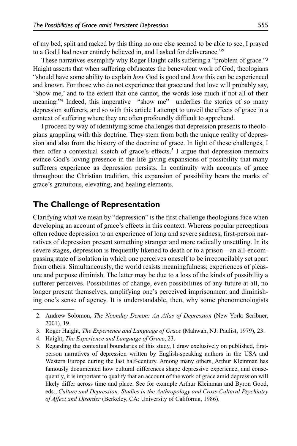of my bed, split and racked by this thing no one else seemed to be able to see, I prayed to a God I had never entirely believed in, and I asked for deliverance."2

These narratives exemplify why Roger Haight calls suffering a "problem of grace."3 Haight asserts that when suffering obfuscates the benevolent work of God, theologians "should have some ability to explain *how* God is good and *how* this can be experienced and known. For those who do not experience that grace and that love will probably say, 'Show me,' and to the extent that one cannot, the words lose much if not all of their meaning."4 Indeed, this imperative—"show me"—underlies the stories of so many depression sufferers, and so with this article I attempt to unveil the effects of grace in a context of suffering where they are often profoundly difficult to apprehend.

I proceed by way of identifying some challenges that depression presents to theologians grappling with this doctrine. They stem from both the unique reality of depression and also from the history of the doctrine of grace. In light of these challenges, I then offer a contextual sketch of grace's effects.<sup>5</sup> I argue that depression memoirs evince God's loving presence in the life-giving expansions of possibility that many sufferers experience as depression persists. In continuity with accounts of grace throughout the Christian tradition, this expansion of possibility bears the marks of grace's gratuitous, elevating, and healing elements.

### **The Challenge of Representation**

Clarifying what we mean by "depression" is the first challenge theologians face when developing an account of grace's effects in this context. Whereas popular perceptions often reduce depression to an experience of long and severe sadness, first-person narratives of depression present something stranger and more radically unsettling. In its severe stages, depression is frequently likened to death or to a prison—an all-encompassing state of isolation in which one perceives oneself to be irreconcilably set apart from others. Simultaneously, the world resists meaningfulness; experiences of pleasure and purpose diminish. The latter may be due to a loss of the kinds of possibility a sufferer perceives. Possibilities of change, even possibilities of any future at all, no longer present themselves, amplifying one's perceived imprisonment and diminishing one's sense of agency. It is understandable, then, why some phenomenologists

- 4. Haight, *The Experience and Language of Grace*, 23.
- 5. Regarding the contextual boundaries of this study, I draw exclusively on published, firstperson narratives of depression written by English-speaking authors in the USA and Western Europe during the last half-century. Among many others, Arthur Kleinman has famously documented how cultural differences shape depressive experience, and consequently, it is important to qualify that an account of the work of grace amid depression will likely differ across time and place. See for example Arthur Kleinman and Byron Good, eds., *Culture and Depression: Studies in the Anthropology and Cross-Cultural Psychiatry of Affect and Disorder* (Berkeley, CA: University of California, 1986).

<sup>2.</sup> Andrew Solomon, *The Noonday Demon: An Atlas of Depression* (New York: Scribner, 2001), 19.

<sup>3.</sup> Roger Haight, *The Experience and Language of Grace* (Mahwah, NJ: Paulist, 1979), 23.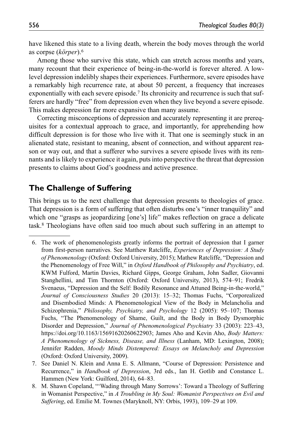have likened this state to a living death, wherein the body moves through the world as corpse (*körper*).6

Among those who survive this state, which can stretch across months and years, many recount that their experience of being-in-the-world is forever altered. A lowlevel depression indelibly shapes their experiences. Furthermore, severe episodes have a remarkably high recurrence rate, at about 50 percent, a frequency that increases exponentially with each severe episode.7 Its chronicity and recurrence is such that sufferers are hardly "free" from depression even when they live beyond a severe episode. This makes depression far more expansive than many assume.

Correcting misconceptions of depression and accurately representing it are prerequisites for a contextual approach to grace, and importantly, for apprehending how difficult depression is for those who live with it. That one is seemingly stuck in an alienated state, resistant to meaning, absent of connection, and without apparent reason or way out, and that a sufferer who survives a severe episode lives with its remnants and is likely to experience it again, puts into perspective the threat that depression presents to claims about God's goodness and active presence.

# **The Challenge of Suffering**

This brings us to the next challenge that depression presents to theologies of grace. That depression is a form of suffering that often disturbs one's "inner tranquility" and which one "grasps as jeopardizing [one's] life" makes reflection on grace a delicate task.8 Theologians have often said too much about such suffering in an attempt to

- 7. See Daniel N. Klein and Anna E. S. Allmann, "Course of Depression: Persistence and Recurrence," in *Handbook of Depression*, 3rd eds., Ian H. Gotlib and Constance L. Hammen (New York: Guilford, 2014), 64–83.
- 8. M. Shawn Copeland, "'Wading through Many Sorrows': Toward a Theology of Suffering in Womanist Perspective," in *A Troubling in My Soul: Womanist Perspectives on Evil and Suffering*, ed. Emilie M. Townes (Maryknoll, NY: Orbis, 1993), 109–29 at 109.

<sup>6.</sup> The work of phenomenologists greatly informs the portrait of depression that I garner from first-person narratives. See Matthew Ratcliffe, *Experiences of Depression: A Study of Phenomenology* (Oxford: Oxford University, 2015); Mathew Ratcliffe, "Depression and the Phenomenology of Free Will," in *Oxford Handbook of Philosophy and Psychiatry*, ed. KWM Fulford, Martin Davies, Richard Gipps, George Graham, John Sadler, Giovanni Stanghellini, and Tim Thornton (Oxford: Oxford University, 2013), 574–91; Fredrik Svenaeus, "Depression and the Self: Bodily Resonance and Attuned Being-in-the-world," *Journal of Consciousness Studies* 20 (2013): 15–32; Thomas Fuchs, "Corporealized and Disembodied Minds: A Phenomenological View of the Body in Melancholia and Schizophrenia," *Philosophy, Psychiatry, and Psychology* 12 (2005): 95–107; Thomas Fuchs, "The Phenomenology of Shame, Guilt, and the Body in Body Dysmorphic Disorder and Depression," *Journal of Phenomenological Psychiatry* 33 (2003): 223–43, <https://doi.org/10.1163/15691620260622903>; James Aho and Kevin Aho, *Body Matters: A Phenomenology of Sickness, Disease, and Illness* (Lanham, MD: Lexington, 2008); Jennifer Radden, *Moody Minds Distempered: Essays on Melancholy and Depression* (Oxford: Oxford University, 2009).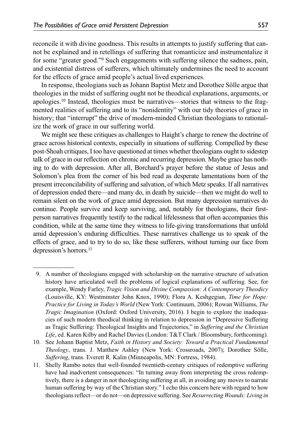reconcile it with divine goodness. This results in attempts to justify suffering that cannot be explained and in retellings of suffering that romanticize and instrumentalize it for some "greater good."9 Such engagements with suffering silence the sadness, pain, and existential distress of sufferers, which ultimately undermines the need to account for the effects of grace amid people's actual lived experiences.

In response, theologians such as Johann Baptist Metz and Dorothee Sölle argue that theologies in the midst of suffering ought not be theodical explanations, arguments, or apologies.10 Instead, theologies must be narratives—stories that witness to the fragmented realities of suffering and to its "nonidentity" with our tidy theories of grace in history; that "interrupt" the drive of modern-minded Christian theologians to rationalize the work of grace in our suffering world.

We might see these critiques as challenges to Haight's charge to renew the doctrine of grace across historical contexts, especially in situations of suffering. Compelled by these post-Shoah critiques, I too have questioned at times whether theologians ought to sidestep talk of grace in our reflection on chronic and recurring depression. Maybe grace has nothing to do with depression. After all, Borchard's prayer before the statue of Jesus and Solomon's plea from the corner of his bed read as desperate lamentations born of the present irreconcilability of suffering and salvation, of which Metz speaks. If all narratives of depression ended there—and many do, in death by suicide—then we might do well to remain silent on the work of grace amid depression. But many depression narratives do continue. People survive and keep surviving, and, notably for theologians, their firstperson narratives frequently testify to the radical lifelessness that often accompanies this condition, while at the same time they witness to life-giving transformations that unfold amid depression's enduring difficulties. These narratives challenge us to speak of the effects of grace, and to try to do so, like these sufferers, without turning our face from depression's horrors.11

<sup>9.</sup> A number of theologians engaged with scholarship on the narrative structure of salvation history have articulated well the problems of logical explanations of suffering. See, for example, Wendy Farley, *Tragic Vision and Divine Compassion: A Contemporary Theodicy* (Louisville, KY: Westminster John Knox, 1990); Flora A. Keshgegian, *Time for Hope: Practice for Living in Today's World* (New York: Continuum, 2006); Rowan Williams, *The Tragic Imagination* (Oxford: Oxford University, 2016). I begin to explore the inadequacies of such modern theodical thinking in relation to depression in "Depressive Suffering as Tragic Suffering: Theological Insights and Trajectories," in *Suffering and the Christian Life*, ed. Karen Kilby and Rachel Davies (London: T&T Clark / Bloomsbury, forthcoming).

<sup>10.</sup> See Johann Baptist Metz, *Faith in History and Society: Toward a Practical Fundamental Theology*, trans. J. Matthew Ashley (New York: Crossroads, 2007); Dorothee Sölle, *Suffering*, trans. Everett R. Kalin (Minneapolis, MN: Fortress, 1984).

<sup>11.</sup> Shelly Rambo notes that well-founded twentieth-century critiques of redemptive suffering have had inadvertent consequences: "In turning away from interpreting the cross redemptively, there is a danger in not theologizing suffering at all, in avoiding any moves to narrate human suffering by way of the Christian story." I echo this concern here with regard to how theologians reflect—or do not—on depressive suffering. See *Resurrecting Wounds: Living in*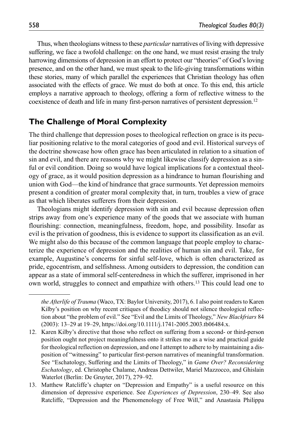Thus, when theologians witness to these *particular* narratives of living with depressive suffering, we face a twofold challenge: on the one hand, we must resist erasing the truly harrowing dimensions of depression in an effort to protect our "theories" of God's loving presence, and on the other hand, we must speak to the life-giving transformations within these stories, many of which parallel the experiences that Christian theology has often associated with the effects of grace. We must do both at once. To this end, this article employs a narrative approach to theology, offering a form of reflective witness to the coexistence of death and life in many first-person narratives of persistent depression.12

## **The Challenge of Moral Complexity**

The third challenge that depression poses to theological reflection on grace is its peculiar positioning relative to the moral categories of good and evil. Historical surveys of the doctrine showcase how often grace has been articulated in relation to a situation of sin and evil, and there are reasons why we might likewise classify depression as a sinful or evil condition. Doing so would have logical implications for a contextual theology of grace, as it would position depression as a hindrance to human flourishing and union with God—the kind of hindrance that grace surmounts. Yet depression memoirs present a condition of greater moral complexity that, in turn, troubles a view of grace as that which liberates sufferers from their depression.

Theologians might identify depression with sin and evil because depression often strips away from one's experience many of the goods that we associate with human flourishing: connection, meaningfulness, freedom, hope, and possibility. Insofar as evil is the privation of goodness, this is evidence to support its classification as an evil. We might also do this because of the common language that people employ to characterize the experience of depression and the realities of human sin and evil. Take, for example, Augustine's concerns for sinful self-love, which is often characterized as pride, egocentrism, and selfishness. Among outsiders to depression, the condition can appear as a state of immoral self-centeredness in which the sufferer, imprisoned in her own world, struggles to connect and empathize with others.13 This could lead one to

13. Matthew Ratcliffe's chapter on "Depression and Empathy" is a useful resource on this dimension of depressive experience. See *Experiences of Depression*, 230–49. See also Ratcliffe, "Depression and the Phenomenology of Free Will," and Anastasia Philippa

*the Afterlife of Trauma* (Waco, TX: Baylor University, 2017), 6. I also point readers to Karen Kilby's position on why recent critiques of theodicy should not silence theological reflection about "the problem of evil." See "Evil and the Limits of Theology," *New Blackfriars* 84 (2003): 13–29 at 19–29,<https://doi.org/10.1111/j.1741-2005.2003.tb06484.x>.

<sup>12.</sup> Karen Kilby's directive that those who reflect on suffering from a second- or third-person position ought not project meaningfulness onto it strikes me as a wise and practical guide for theological reflection on depression, and one I attempt to adhere to by maintaining a disposition of "witnessing" to particular first-person narratives of meaningful transformation. See "Eschatology, Suffering and the Limits of Theology," in *Game Over? Reconsidering Eschatology*, ed. Christophe Chalame, Andreas Dettwiler, Mariel Mazzocco, and Ghislain Waterlot (Berlin: De Gruyter, 2017), 279–92.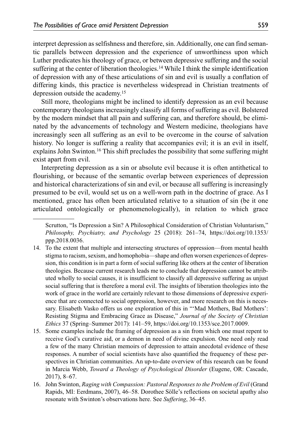interpret depression as selfishness and therefore, sin. Additionally, one can find semantic parallels between depression and the experience of unworthiness upon which Luther predicates his theology of grace, or between depressive suffering and the social suffering at the center of liberation theologies.14 While I think the simple identification of depression with any of these articulations of sin and evil is usually a conflation of differing kinds, this practice is nevertheless widespread in Christian treatments of depression outside the academy.15

Still more, theologians might be inclined to identify depression as an evil because contemporary theologians increasingly classify all forms of suffering as evil. Bolstered by the modern mindset that all pain and suffering can, and therefore should, be eliminated by the advancements of technology and Western medicine, theologians have increasingly seen all suffering as an evil to be overcome in the course of salvation history. No longer is suffering a reality that accompanies evil; it is an evil in itself, explains John Swinton.16 This shift precludes the possibility that some suffering might exist apart from evil.

Interpreting depression as a sin or absolute evil because it is often antithetical to flourishing, or because of the semantic overlap between experiences of depression and historical characterizations of sin and evil, or because all suffering is increasingly presumed to be evil, would set us on a well-worn path in the doctrine of grace. As I mentioned, grace has often been articulated relative to a situation of sin (be it one articulated ontologically or phenomenologically), in relation to which grace

- 14. To the extent that multiple and intersecting structures of oppression—from mental health stigma to racism, sexism, and homophobia—shape and often worsen experiences of depression, this condition is in part a form of social suffering like others at the center of liberation theologies. Because current research leads me to conclude that depression cannot be attributed wholly to social causes, it is insufficient to classify all depressive suffering as unjust social suffering that is therefore a moral evil. The insights of liberation theologies into the work of grace in the world are certainly relevant to those dimensions of depressive experience that are connected to social oppression, however, and more research on this is necessary. Elisabeth Vasko offers us one exploration of this in "'Mad Mothers, Bad Mothers': Resisting Stigma and Embracing Grace as Disease," *Journal of the Society of Christian Ethics* 37 (Spring–Summer 2017): 141–59,<https://doi.org/10.1353/sce.2017.0009>.
- 15. Some examples include the framing of depression as a sin from which one must repent to receive God's curative aid, or a demon in need of divine expulsion. One need only read a few of the many Christian memoirs of depression to attain anecdotal evidence of these responses. A number of social scientists have also quantified the frequency of these perspectives in Christian communities. An up-to-date overview of this research can be found in Marcia Webb, *Toward a Theology of Psychological Disorder* (Eugene, OR: Cascade, 2017), 8–67.
- 16. John Swinton, *Raging with Compassion: Pastoral Responses to the Problem of Evil* (Grand Rapids, MI: Eerdmans, 2007), 46–58. Dorothee Sölle's reflections on societal apathy also resonate with Swinton's observations here. See *Suffering*, 36–45.

Scrutton, "Is Depression a Sin? A Philosophical Consideration of Christian Voluntarism," *Philosophy, Psychiatry, and Psychology* 25 (2018): 261–74, [https://doi.org/10.1353/](https://doi.org/10.1353/ppp.2018.0036) [ppp.2018.0036](https://doi.org/10.1353/ppp.2018.0036).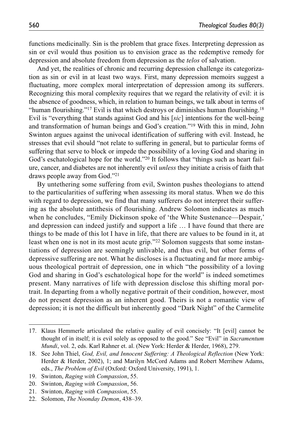functions medicinally. Sin is the problem that grace fixes. Interpreting depression as sin or evil would thus position us to envision grace as the redemptive remedy for depression and absolute freedom from depression as the *telos* of salvation.

And yet, the realities of chronic and recurring depression challenge its categorization as sin or evil in at least two ways. First, many depression memoirs suggest a fluctuating, more complex moral interpretation of depression among its sufferers. Recognizing this moral complexity requires that we regard the relativity of evil: it is the absence of goodness, which, in relation to human beings, we talk about in terms of "human flourishing."<sup>17</sup> Evil is that which destroys or diminishes human flourishing.<sup>18</sup> Evil is "everything that stands against God and his [*sic*] intentions for the well-being and transformation of human beings and God's creation."19 With this in mind, John Swinton argues against the univocal identification of suffering with evil. Instead, he stresses that evil should "not relate to suffering in general, but to particular forms of suffering that serve to block or impede the possibility of a loving God and sharing in God's eschatological hope for the world."<sup>20</sup> It follows that "things such as heart failure, cancer, and diabetes are not inherently evil *unless* they initiate a crisis of faith that draws people away from God."21

By untethering some suffering from evil, Swinton pushes theologians to attend to the particularities of suffering when assessing its moral status. When we do this with regard to depression, we find that many sufferers do not interpret their suffering as the absolute antithesis of flourishing. Andrew Solomon indicates as much when he concludes, "Emily Dickinson spoke of 'the White Sustenance—Despair,' and depression can indeed justify and support a life … I have found that there are things to be made of this lot I have in life, that there are values to be found in it, at least when one is not in its most acute grip."<sup>22</sup> Solomon suggests that some instantiations of depression are seemingly unlivable, and thus evil, but other forms of depressive suffering are not. What he discloses is a fluctuating and far more ambiguous theological portrait of depression, one in which "the possibility of a loving God and sharing in God's eschatological hope for the world" is indeed sometimes present. Many narratives of life with depression disclose this shifting moral portrait. In departing from a wholly negative portrait of their condition, however, most do not present depression as an inherent good. Theirs is not a romantic view of depression; it is not the difficult but inherently good "Dark Night" of the Carmelite

<sup>17.</sup> Klaus Hemmerle articulated the relative quality of evil concisely: "It [evil] cannot be thought of in itself; it is evil solely as opposed to the good." See "Evil" in *Sacramentum Mundi*, vol. 2, eds. Karl Rahner et. al. (New York: Herder & Herder, 1968), 279.

<sup>18.</sup> See John Thiel, *God, Evil, and Innocent Suffering: A Theological Reflection* (New York: Herder & Herder, 2002), 1; and Marilyn McCord Adams and Robert Merrihew Adams, eds., *The Problem of Evil* (Oxford: Oxford University, 1991), 1.

<sup>19.</sup> Swinton, *Raging with Compassion*, 55.

<sup>20.</sup> Swinton, *Raging with Compassion*, 56.

<sup>21.</sup> Swinton, *Raging with Compassion*, 55.

<sup>22.</sup> Solomon, *The Noonday Demon*, 438–39.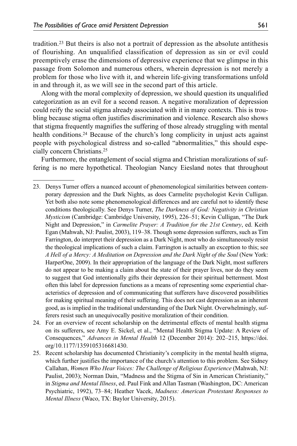tradition.23 But theirs is also not a portrait of depression as the absolute antithesis of flourishing. An unqualified classification of depression as sin or evil could preemptively erase the dimensions of depressive experience that we glimpse in this passage from Solomon and numerous others, wherein depression is not merely a problem for those who live with it, and wherein life-giving transformations unfold in and through it, as we will see in the second part of this article.

Along with the moral complexity of depression, we should question its unqualified categorization as an evil for a second reason. A negative moralization of depression could reify the social stigma already associated with it in many contexts. This is troubling because stigma often justifies discrimination and violence. Research also shows that stigma frequently magnifies the suffering of those already struggling with mental health conditions.<sup>24</sup> Because of the church's long complicity in unjust acts against people with psychological distress and so-called "abnormalities," this should especially concern Christians.25

Furthermore, the entanglement of social stigma and Christian moralizations of suffering is no mere hypothetical. Theologian Nancy Eiesland notes that throughout

- 24. For an overview of recent scholarship on the detrimental effects of mental health stigma on its sufferers, see Amy E. Sickel, et al., "Mental Health Stigma Update: A Review of Consequences," *Advances in Mental Health* 12 (December 2014): 202–215, [https://doi.](https://doi.org/10.1177/1359105316681430) [org/10.1177/1359105316681430.](https://doi.org/10.1177/1359105316681430)
- 25. Recent scholarship has documented Christianity's complicity in the mental health stigma, which further justifies the importance of the church's attention to this problem. See Sidney Callahan, *Women Who Hear Voices: The Challenge of Religious Experience* (Mahwah, NJ: Paulist, 2003); Norman Dain, "Madness and the Stigma of Sin in American Christianity," in *Stigma and Mental Illness*, ed. Paul Fink and Allan Tasman (Washington, DC: American Psychiatric, 1992), 73–84; Heather Vacek, *Madness: American Protestant Responses to Mental Illness* (Waco, TX: Baylor University, 2015).

<sup>23.</sup> Denys Turner offers a nuanced account of phenomenological similarities between contemporary depression and the Dark Nights, as does Carmelite psychologist Kevin Culligan. Yet both also note some phenomenological differences and are careful not to identify these conditions theologically. See Denys Turner, *The Darkness of God: Negativity in Christian Mysticism* (Cambridge: Cambridge University, 1995), 226–51; Kevin Culligan, "The Dark Night and Depression," in *Carmelite Prayer: A Tradition for the 21st Century*, ed. Keith Egan (Mahwah, NJ: Paulist, 2003), 119–38. Though some depression sufferers, such as Tim Farrington, do interpret their depression as a Dark Night, most who do simultaneously resist the theological implications of such a claim. Farrington is actually an exception to this; see *A Hell of a Mercy: A Meditation on Depression and the Dark Night of the Soul* (New York: HarperOne, 2009). In their appropriation of the language of the Dark Night, most sufferers do not appear to be making a claim about the state of their prayer lives, nor do they seem to suggest that God intentionally gifts their depression for their spiritual betterment. Most often this label for depression functions as a means of representing some experiential characteristics of depression and of communicating that sufferers have discovered possibilities for making spiritual meaning of their suffering. This does not cast depression as an inherent good, as is implied in the traditional understanding of the Dark Night. Overwhelmingly, sufferers resist such an unequivocally positive moralization of their condition.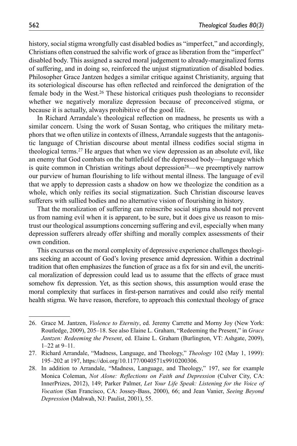history, social stigma wrongfully cast disabled bodies as "imperfect," and accordingly, Christians often construed the salvific work of grace as liberation from the "imperfect" disabled body. This assigned a sacred moral judgement to already-marginalized forms of suffering, and in doing so, reinforced the unjust stigmatization of disabled bodies. Philosopher Grace Jantzen hedges a similar critique against Christianity, arguing that its soteriological discourse has often reflected and reinforced the denigration of the female body in the West.26 These historical critiques push theologians to reconsider whether we negatively moralize depression because of preconceived stigma, or because it is actually, always prohibitive of the good life.

In Richard Arrandale's theological reflection on madness, he presents us with a similar concern. Using the work of Susan Sontag, who critiques the military metaphors that we often utilize in contexts of illness, Arrandale suggests that the antagonistic language of Christian discourse about mental illness codifies social stigma in theological terms.27 He argues that when we view depression as an absolute evil, like an enemy that God combats on the battlefield of the depressed body—language which is quite common in Christian writings about depression<sup>28</sup>—we preemptively narrow our purview of human flourishing to life without mental illness. The language of evil that we apply to depression casts a shadow on how we theologize the condition as a whole, which only reifies its social stigmatization. Such Christian discourse leaves sufferers with sullied bodies and no alternative vision of flourishing in history.

That the moralization of suffering can reinscribe social stigma should not prevent us from naming evil when it is apparent, to be sure, but it does give us reason to mistrust our theological assumptions concerning suffering and evil, especially when many depression sufferers already offer shifting and morally complex assessments of their own condition.

This excursus on the moral complexity of depressive experience challenges theologians seeking an account of God's loving presence amid depression. Within a doctrinal tradition that often emphasizes the function of grace as a fix for sin and evil, the uncritical moralization of depression could lead us to assume that the effects of grace must somehow fix depression. Yet, as this section shows, this assumption would erase the moral complexity that surfaces in first-person narratives and could also reify mental health stigma. We have reason, therefore, to approach this contextual theology of grace

<sup>26.</sup> Grace M. Jantzen, *Violence to Eternity*, ed. Jeremy Carrette and Morny Joy (New York: Routledge, 2009), 205–18. See also Elaine L. Graham, "Redeeming the Present," in *Grace Jantzen: Redeeming the Present*, ed. Elaine L. Graham (Burlington, VT: Ashgate, 2009), 1–22 at 9–11.

<sup>27.</sup> Richard Arrandale, "Madness, Language, and Theology," *Theology* 102 (May 1, 1999): 195–202 at 197,<https://doi.org/10.1177/0040571x9910200306>.

<sup>28.</sup> In addition to Arrandale, "Madness, Language, and Theology," 197, see for example Monica Coleman, *Not Alone: Reflections on Faith and Depression* (Culver City, CA: InnerPrizes, 2012), 149; Parker Palmer, *Let Your Life Speak: Listening for the Voice of Vocation* (San Francisco, CA: Jossey-Bass, 2000), 66; and Jean Vanier, *Seeing Beyond Depression* (Mahwah, NJ: Paulist, 2001), 55.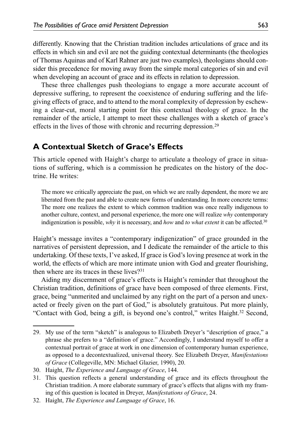differently. Knowing that the Christian tradition includes articulations of grace and its effects in which sin and evil are not the guiding contextual determinants (the theologies of Thomas Aquinas and of Karl Rahner are just two examples), theologians should consider this precedence for moving away from the simple moral categories of sin and evil when developing an account of grace and its effects in relation to depression.

These three challenges push theologians to engage a more accurate account of depressive suffering, to represent the coexistence of enduring suffering and the lifegiving effects of grace, and to attend to the moral complexity of depression by eschewing a clear-cut, moral starting point for this contextual theology of grace. In the remainder of the article, I attempt to meet these challenges with a sketch of grace's effects in the lives of those with chronic and recurring depression.29

# **A Contextual Sketch of Grace's Effects**

This article opened with Haight's charge to articulate a theology of grace in situations of suffering, which is a commission he predicates on the history of the doctrine. He writes:

The more we critically appreciate the past, on which we are really dependent, the more we are liberated from the past and able to create new forms of understanding. In more concrete terms: The more one realizes the extent to which common tradition was once really indigenous to another culture, context, and personal experience, the more one will realize *why* contemporary indigenization is possible, *why* it is necessary, and *how* and *to what extent* it can be affected.30

Haight's message invites a "contemporary indigenization" of grace grounded in the narratives of persistent depression, and I dedicate the remainder of the article to this undertaking. Of these texts, I've asked, If grace is God's loving presence at work in the world, the effects of which are more intimate union with God and greater flourishing, then where are its traces in these lives?31

Aiding my discernment of grace's effects is Haight's reminder that throughout the Christian tradition, definitions of grace have been composed of three elements. First, grace, being "unmerited and unclaimed by any right on the part of a person and unexacted or freely given on the part of God," is absolutely gratuitous. Put more plainly, "Contact with God, being a gift, is beyond one's control," writes Haight.32 Second,

<sup>29.</sup> My use of the term "sketch" is analogous to Elizabeth Dreyer's "description of grace," a phrase she prefers to a "definition of grace." Accordingly, I understand myself to offer a contextual portrait of grace at work in one dimension of contemporary human experience, as opposed to a decontextualized, universal theory. See Elizabeth Dreyer, *Manifestations of Grace* (Collegeville, MN: Michael Glazier, 1990), 20.

<sup>30.</sup> Haight, *The Experience and Language of Grace*, 144.

<sup>31.</sup> This question reflects a general understanding of grace and its effects throughout the Christian tradition. A more elaborate summary of grace's effects that aligns with my framing of this question is located in Dreyer, *Manifestations of Grace*, 24.

<sup>32.</sup> Haight, *The Experience and Language of Grace*, 16.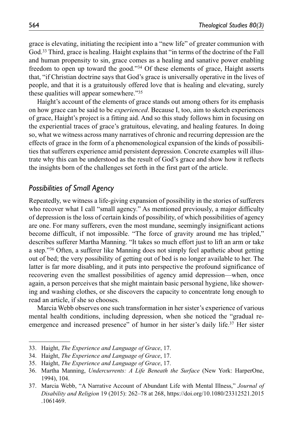grace is elevating, initiating the recipient into a "new life" of greater communion with God.<sup>33</sup> Third, grace is healing. Haight explains that "in terms of the doctrine of the Fall and human propensity to sin, grace comes as a healing and sanative power enabling freedom to open up toward the good."34 Of these elements of grace, Haight asserts that, "if Christian doctrine says that God's grace is universally operative in the lives of people, and that it is a gratuitously offered love that is healing and elevating, surely these qualities will appear somewhere."35

Haight's account of the elements of grace stands out among others for its emphasis on how grace can be said to be *experienced*. Because I, too, aim to sketch experiences of grace, Haight's project is a fitting aid. And so this study follows him in focusing on the experiential traces of grace's gratuitous, elevating, and healing features. In doing so, what we witness across many narratives of chronic and recurring depression are the effects of grace in the form of a phenomenological expansion of the kinds of possibilities that sufferers experience amid persistent depression. Concrete examples will illustrate why this can be understood as the result of God's grace and show how it reflects the insights born of the challenges set forth in the first part of the article.

## *Possibilities of Small Agency*

Repeatedly, we witness a life-giving expansion of possibility in the stories of sufferers who recover what I call "small agency." As mentioned previously, a major difficulty of depression is the loss of certain kinds of possibility, of which possibilities of agency are one. For many sufferers, even the most mundane, seemingly insignificant actions become difficult, if not impossible. "The force of gravity around me has tripled," describes sufferer Martha Manning. "It takes so much effort just to lift an arm or take a step."36 Often, a sufferer like Manning does not simply feel apathetic about getting out of bed; the very possibility of getting out of bed is no longer available to her. The latter is far more disabling, and it puts into perspective the profound significance of recovering even the smallest possibilities of agency amid depression—when, once again, a person perceives that she might maintain basic personal hygiene, like showering and washing clothes, or she discovers the capacity to concentrate long enough to read an article, if she so chooses.

Marcia Webb observes one such transformation in her sister's experience of various mental health conditions, including depression, when she noticed the "gradual reemergence and increased presence" of humor in her sister's daily life.37 Her sister

<sup>33.</sup> Haight, *The Experience and Language of Grace*, 17.

<sup>34.</sup> Haight, *The Experience and Language of Grace*, 17.

<sup>35.</sup> Haight, *The Experience and Language of Grace*, 17.

<sup>36.</sup> Martha Manning, *Undercurrents: A Life Beneath the Surface* (New York: HarperOne, 1994), 104.

<sup>37.</sup> Marcia Webb, "A Narrative Account of Abundant Life with Mental Illness," *Journal of Disability and Religion* 19 (2015): 262–78 at 268, [https://doi.org/10.1080/23312521.2015](https://doi.org/10.1080/23312521.2015.1061469) [.1061469.](https://doi.org/10.1080/23312521.2015.1061469)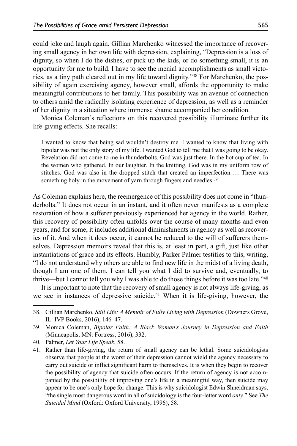could joke and laugh again. Gillian Marchenko witnessed the importance of recovering small agency in her own life with depression, explaining, "Depression is a loss of dignity, so when I do the dishes, or pick up the kids, or do something small, it is an opportunity for me to build. I have to see the menial accomplishments as small victories, as a tiny path cleared out in my life toward dignity."38 For Marchenko, the possibility of again exercising agency, however small, affords the opportunity to make meaningful contributions to her family. This possibility was an avenue of connection to others amid the radically isolating experience of depression, as well as a reminder of her dignity in a situation where immense shame accompanied her condition.

Monica Coleman's reflections on this recovered possibility illuminate further its life-giving effects. She recalls:

I wanted to know that being sad wouldn't destroy me. I wanted to know that living with bipolar was not the only story of my life. I wanted God to tell me that I was going to be okay. Revelation did not come to me in thunderbolts. God was just there. In the hot cup of tea. In the women who gathered. In our laughter. In the knitting. God was in my uniform row of stitches. God was also in the dropped stitch that created an imperfection … There was something holy in the movement of yarn through fingers and needles.<sup>39</sup>

As Coleman explains here, the reemergence of this possibility does not come in "thunderbolts." It does not occur in an instant, and it often never manifests as a complete restoration of how a sufferer previously experienced her agency in the world. Rather, this recovery of possibility often unfolds over the course of many months and even years, and for some, it includes additional diminishments in agency as well as recoveries of it. And when it does occur, it cannot be reduced to the will of sufferers themselves. Depression memoirs reveal that this is, at least in part, a gift, just like other instantiations of grace and its effects. Humbly, Parker Palmer testifies to this, writing, "I do not understand why others are able to find new life in the midst of a living death, though I am one of them. I can tell you what I did to survive and, eventually, to thrive—but I cannot tell you why I was able to do those things before it was too late."40

It is important to note that the recovery of small agency is not always life-giving, as we see in instances of depressive suicide.41 When it is life-giving, however, the

40. Palmer, *Let Your Life Speak*, 58.

<sup>38.</sup> Gillian Marchenko, *Still Life: A Memoir of Fully Living with Depression* (Downers Grove, IL: IVP Books, 2016), 146–47.

<sup>39.</sup> Monica Coleman, *Bipolar Faith: A Black Woman's Journey in Depression and Faith* (Minneapolis, MN: Fortress, 2016), 332.

<sup>41.</sup> Rather than life-giving, the return of small agency can be lethal. Some suicidologists observe that people at the worst of their depression cannot wield the agency necessary to carry out suicide or inflict significant harm to themselves. It is when they begin to recover the possibility of agency that suicide often occurs. If the return of agency is not accompanied by the possibility of improving one's life in a meaningful way, then suicide may appear to be one's only hope for change. This is why suicidologist Edwin Shneidman says, "the single most dangerous word in all of suicidology is the four-letter word *only*." See *The Suicidal Mind* (Oxford: Oxford University, 1996), 58.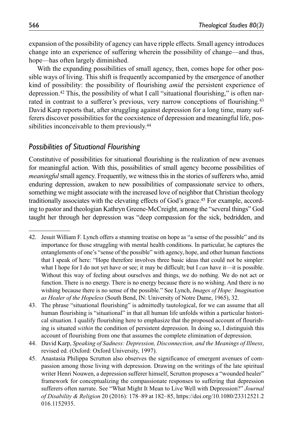expansion of the possibility of agency can have ripple effects. Small agency introduces change into an experience of suffering wherein the possibility of change—and thus, hope—has often largely diminished.

With the expanding possibilities of small agency, then, comes hope for other possible ways of living. This shift is frequently accompanied by the emergence of another kind of possibility: the possibility of flourishing *amid* the persistent experience of depression.42 This, the possibility of what I call "situational flourishing," is often narrated in contrast to a sufferer's previous, very narrow conceptions of flourishing.<sup>43</sup> David Karp reports that, after struggling against depression for a long time, many sufferers discover possibilities for the coexistence of depression and meaningful life, possibilities inconceivable to them previously.<sup>44</sup>

# *Possibilities of Situational Flourishing*

Constitutive of possibilities for situational flourishing is the realization of new avenues for meaningful action. With this, possibilities of small agency become possibilities of *meaningful* small agency. Frequently, we witness this in the stories of sufferers who, amid enduring depression, awaken to new possibilities of compassionate service to others, something we might associate with the increased love of neighbor that Christian theology traditionally associates with the elevating effects of God's grace.45 For example, according to pastor and theologian Kathryn Greene-McCreight, among the "several things" God taught her through her depression was "deep compassion for the sick, bedridden, and

<sup>42.</sup> Jesuit William F. Lynch offers a stunning treatise on hope as "a sense of the possible" and its importance for those struggling with mental health conditions. In particular, he captures the entanglements of one's "sense of the possible" with agency, hope, and other human functions that I speak of here: "Hope therefore involves three basic ideas that could not be simpler: what I hope for I do not yet have or see; it may be difficult; but I *can* have it—it is possible. Without this way of feeling about ourselves and things, we do nothing. We do not act or function. There is no energy. There is no energy because there is no wishing. And there is no wishing because there is no sense of the possible." See Lynch, *Images of Hope: Imagination as Healer of the Hopeless* (South Bend, IN: University of Notre Dame, 1965), 32.

<sup>43.</sup> The phrase "situational flourishing" is admittedly tautological, for we can assume that all human flourishing is "situational" in that all human life unfolds within a particular historical situation. I qualify flourishing here to emphasize that the proposed account of flourishing is situated *within* the condition of persistent depression. In doing so, I distinguish this account of flourishing from one that assumes the complete elimination of depression.

<sup>44.</sup> David Karp, *Speaking of Sadness: Depression, Disconnection, and the Meanings of Illness*, revised ed. (Oxford: Oxford University, 1997).

<sup>45.</sup> Anastasia Philippa Scrutton also observes the significance of emergent avenues of compassion among those living with depression. Drawing on the writings of the late spiritual writer Henri Nouwen, a depression sufferer himself, Scrutton proposes a "wounded healer" framework for conceptualizing the compassionate responses to suffering that depression sufferers often narrate. See "What Might It Mean to Live Well with Depression?" *Journal of Disability & Religion* 20 (2016): 178–89 at 182–85, [https://doi.org/10.1080/23312521.2](https://doi.org/10.1080/23312521.2016.1152935) [016.1152935.](https://doi.org/10.1080/23312521.2016.1152935)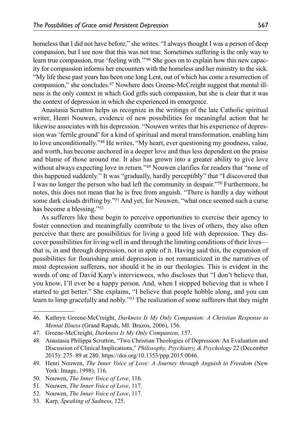homeless that I did not have before," she writes. "I always thought I was a person of deep compassion, but I see now that this was not true. Sometimes suffering is the only way to learn true compassion, true 'feeling with.'"46 She goes on to explain how this new capacity for compassion informs her encounters with the homeless and her ministry to the sick. "My life these past years has been one long Lent, out of which has come a resurrection of compassion," she concludes.47 Nowhere does Greene-McCreight suggest that mental illness is the only context in which God gifts such compassion, but she is clear that it was the context of depression in which she experienced its emergence.

Anastasia Scrutton helps us recognize in the writings of the late Catholic spiritual writer, Henri Nouwen, evidence of new possibilities for meaningful action that he likewise associates with his depression. "Nouwen writes that his experience of depression was 'fertile ground' for a kind of spiritual and moral transformation, enabling him to love unconditionally."48 He writes, "My heart, ever questioning my goodness, value, and worth, has become anchored in a deeper love and thus less dependent on the praise and blame of those around me. It also has grown into a greater ability to give love without always expecting love in return."49 Nouwen clarifies for readers that "none of this happened suddenly." It was "gradually, hardly perceptibly" that "I discovered that I was no longer the person who had left the community in despair."50 Furthermore, he notes, this does not mean that he is free from anguish. "There is hardly a day without some dark clouds drifting by."51 And yet, for Nouwen, "what once seemed such a curse has become a blessing."52

As sufferers like these begin to perceive opportunities to exercise their agency to foster connection and meaningfully contribute to the lives of others, they also often perceive that there are possibilities for living a good life with depression. They discover possibilities for living well in and through the limiting conditions of their lives that is, in and through depression, not in spite of it. Having said this, the expansion of possibilities for flourishing amid depression is not romanticized in the narratives of most depression sufferers, nor should it be in our theologies. This is evident in the words of one of David Karp's interviewees, who discloses that "I don't believe that, you know, I'll ever be a happy person. And, when I stopped believing that is when I started to get better." She explains, "I believe that people hobble along, and you can learn to limp gracefully and nobly."53 The realization of some sufferers that they might

<sup>46.</sup> Kathryn Greene-McCreight, *Darkness Is My Only Companion: A Christian Response to Mental Illness* (Grand Rapids, MI: Brazos, 2006), 156.

<sup>47.</sup> Greene-McCreight, *Darkness Is My Only Companion*, 157.

<sup>48.</sup> Anastasia Philippa Scrutton, "Two Christian Theologies of Depression: An Evaluation and Discussion of Clinical Implications," *Philosophy, Psychiatry, & Psychology* 22 (December 2015): 275–89 at 280, [https://doi.org/10.1353/ppp.2015.0046.](https://doi.org/10.1353/ppp.2015.0046)

<sup>49.</sup> Henri Nouwen, *The Inner Voice of Love: A Journey through Anguish to Freedom* (New York: Image, 1998), 116.

<sup>50.</sup> Nouwen, *The Inner Voice of Love*, 116.

<sup>51.</sup> Nouwen, *The Inner Voice of Love*, 117.

<sup>52.</sup> Nouwen, *The Inner Voice of Love*, 117.

<sup>53.</sup> Karp, *Speaking of Sadness*, 125.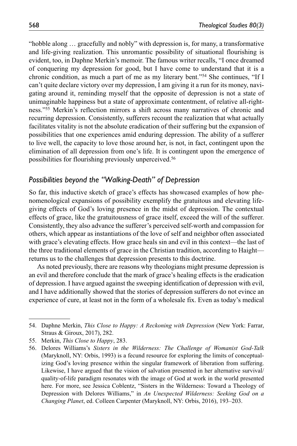"hobble along … gracefully and nobly" with depression is, for many, a transformative and life-giving realization. This unromantic possibility of situational flourishing is evident, too, in Daphne Merkin's memoir. The famous writer recalls, "I once dreamed of conquering my depression for good, but I have come to understand that it is a chronic condition, as much a part of me as my literary bent."54 She continues, "If I can't quite declare victory over my depression, I am giving it a run for its money, navigating around it, reminding myself that the opposite of depression is not a state of unimaginable happiness but a state of approximate contentment, of relative all-rightness."55 Merkin's reflection mirrors a shift across many narratives of chronic and recurring depression. Consistently, sufferers recount the realization that what actually facilitates vitality is not the absolute eradication of their suffering but the expansion of possibilities that one experiences amid enduring depression. The ability of a sufferer to live well, the capacity to love those around her, is not, in fact, contingent upon the elimination of all depression from one's life. It is contingent upon the emergence of possibilities for flourishing previously unperceived.56

#### *Possibilities beyond the "Walking-Death" of Depression*

So far, this inductive sketch of grace's effects has showcased examples of how phenomenological expansions of possibility exemplify the gratuitous and elevating lifegiving effects of God's loving presence in the midst of depression. The contextual effects of grace, like the gratuitousness of grace itself, exceed the will of the sufferer. Consistently, they also advance the sufferer's perceived self-worth and compassion for others, which appear as instantiations of the love of self and neighbor often associated with grace's elevating effects. How grace heals sin and evil in this context—the last of the three traditional elements of grace in the Christian tradition, according to Haight returns us to the challenges that depression presents to this doctrine.

As noted previously, there are reasons why theologians might presume depression is an evil and therefore conclude that the mark of grace's healing effects is the eradication of depression. I have argued against the sweeping identification of depression with evil, and I have additionally showed that the stories of depression sufferers do not evince an experience of cure, at least not in the form of a wholesale fix. Even as today's medical

<sup>54.</sup> Daphne Merkin, *This Close to Happy: A Reckoning with Depression* (New York: Farrar, Straus & Giroux, 2017), 282.

<sup>55.</sup> Merkin, *This Close to Happy*, 283.

<sup>56.</sup> Delores Williams's *Sisters in the Wilderness: The Challenge of Womanist God-Talk* (Maryknoll, NY: Orbis, 1993) is a fecund resource for exploring the limits of conceptualizing God's loving presence within the singular framework of liberation from suffering. Likewise, I have argued that the vision of salvation presented in her alternative survival/ quality-of-life paradigm resonates with the image of God at work in the world presented here. For more, see Jessica Coblentz, "Sisters in the Wilderness: Toward a Theology of Depression with Delores Williams," in *An Unexpected Wilderness: Seeking God on a Changing Planet*, ed. Colleen Carpenter (Maryknoll, NY: Orbis, 2016), 193–203.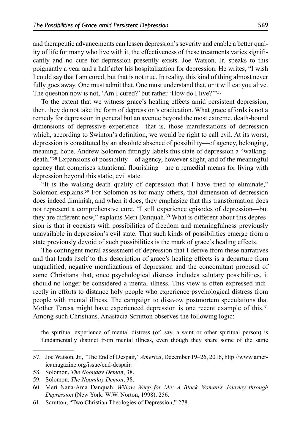and therapeutic advancements can lessen depression's severity and enable a better quality of life for many who live with it, the effectiveness of these treatments varies significantly and no cure for depression presently exists. Joe Watson, Jr. speaks to this poignantly a year and a half after his hospitalization for depression. He writes, "I wish I could say that I am cured, but that is not true. In reality, this kind of thing almost never fully goes away. One must admit that. One must understand that, or it will eat you alive. The question now is not, 'Am I cured?' but rather 'How do I live?'"<sup>57</sup>

To the extent that we witness grace's healing effects amid persistent depression, then, they do not take the form of depression's eradication. What grace affords is not a remedy for depression in general but an avenue beyond the most extreme, death-bound dimensions of depressive experience—that is, those manifestations of depression which, according to Swinton's definition, we would be right to call evil. At its worst, depression is constituted by an absolute absence of possibility—of agency, belonging, meaning, hope. Andrew Solomon fittingly labels this state of depression a "walkingdeath."58 Expansions of possibility—of agency, however slight, and of the meaningful agency that comprises situational flourishing—are a remedial means for living with depression beyond this static, evil state.

"It is the walking-death quality of depression that I have tried to eliminate," Solomon explains.59 For Solomon as for many others, that dimension of depression does indeed diminish, and when it does, they emphasize that this transformation does not represent a comprehensive cure. "I still experience episodes of depression—but they are different now," explains Meri Danquah.60 What is different about this depression is that it coexists with possibilities of freedom and meaningfulness previously unavailable in depression's evil state. That such kinds of possibilities emerge from a state previously devoid of such possibilities is the mark of grace's healing effects.

The contingent moral assessment of depression that I derive from these narratives and that lends itself to this description of grace's healing effects is a departure from unqualified, negative moralizations of depression and the concomitant proposal of some Christians that, once psychological distress includes salutary possibilities, it should no longer be considered a mental illness. This view is often expressed indirectly in efforts to distance holy people who experience psychological distress from people with mental illness. The campaign to disavow postmortem speculations that Mother Teresa might have experienced depression is one recent example of this.<sup>61</sup> Among such Christians, Anastacia Scrutton observes the following logic:

the spiritual experience of mental distress (of, say, a saint or other spiritual person) is fundamentally distinct from mental illness, even though they share some of the same

<sup>57.</sup> Joe Watson, Jr., "The End of Despair," *America*, December 19–26, 2016, [http://www.amer](http://www.americamagazine.org/issue/end-despair)[icamagazine.org/issue/end-despair.](http://www.americamagazine.org/issue/end-despair)

<sup>58.</sup> Solomon, *The Noonday Demon*, 38.

<sup>59.</sup> Solomon, *The Noonday Demon*, 38.

<sup>60.</sup> Meri Nana-Ama Danquah, *Willow Weep for Me: A Black Woman's Journey through Depression* (New York: W.W. Norton, 1998), 256.

<sup>61.</sup> Scrutton, "Two Christian Theologies of Depression," 278.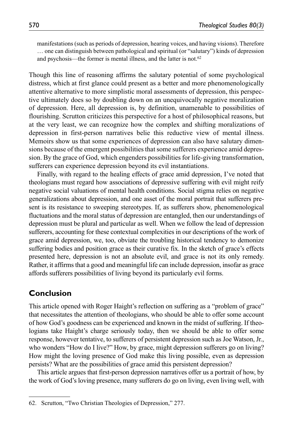manifestations (such as periods of depression, hearing voices, and having visions). Therefore … one can distinguish between pathological and spiritual (or "salutary") kinds of depression and psychosis—the former is mental illness, and the latter is not.<sup>62</sup>

Though this line of reasoning affirms the salutary potential of some psychological distress, which at first glance could present as a better and more phenomenologically attentive alternative to more simplistic moral assessments of depression, this perspective ultimately does so by doubling down on an unequivocally negative moralization of depression. Here, all depression is, by definition, unamenable to possibilities of flourishing. Scrutton criticizes this perspective for a host of philosophical reasons, but at the very least, we can recognize how the complex and shifting moralizations of depression in first-person narratives belie this reductive view of mental illness. Memoirs show us that some experiences of depression can also have salutary dimensions because of the emergent possibilities that some sufferers experience amid depression. By the grace of God, which engenders possibilities for life-giving transformation, sufferers can experience depression beyond its evil instantiations.

Finally, with regard to the healing effects of grace amid depression, I've noted that theologians must regard how associations of depressive suffering with evil might reify negative social valuations of mental health conditions. Social stigma relies on negative generalizations about depression, and one asset of the moral portrait that sufferers present is its resistance to sweeping stereotypes. If, as sufferers show, phenomenological fluctuations and the moral status of depression are entangled, then our understandings of depression must be plural and particular as well. When we follow the lead of depression sufferers, accounting for these contextual complexities in our descriptions of the work of grace amid depression, we, too, obviate the troubling historical tendency to demonize suffering bodies and position grace as their curative fix. In the sketch of grace's effects presented here, depression is not an absolute evil, and grace is not its only remedy. Rather, it affirms that a good and meaningful life can include depression, insofar as grace affords sufferers possibilities of living beyond its particularly evil forms.

## **Conclusion**

This article opened with Roger Haight's reflection on suffering as a "problem of grace" that necessitates the attention of theologians, who should be able to offer some account of how God's goodness can be experienced and known in the midst of suffering. If theologians take Haight's charge seriously today, then we should be able to offer some response, however tentative, to sufferers of persistent depression such as Joe Watson, Jr., who wonders "How do I live?" How, by grace, might depression sufferers go on living? How might the loving presence of God make this living possible, even as depression persists? What are the possibilities of grace amid this persistent depression?

This article argues that first-person depression narratives offer us a portrait of how, by the work of God's loving presence, many sufferers do go on living, even living well, with

<sup>62.</sup> Scrutton, "Two Christian Theologies of Depression," 277.